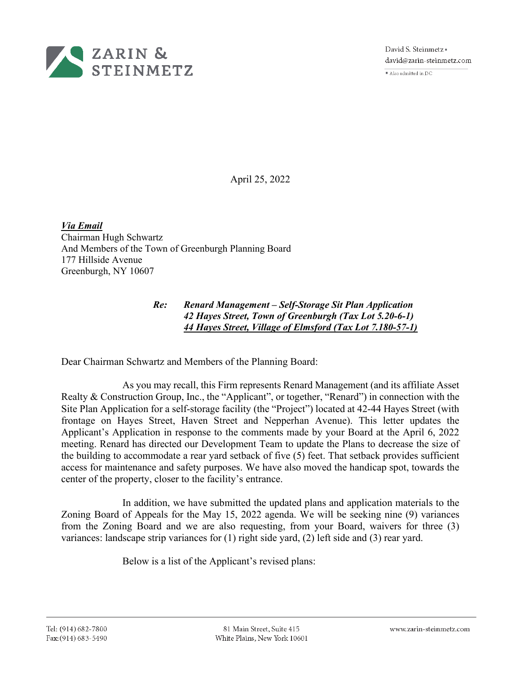

David S. Steinmetz = david@zarin-steinmetz.com

Also admitted in DC

April 25, 2022

*Via Email*  Chairman Hugh Schwartz And Members of the Town of Greenburgh Planning Board 177 Hillside Avenue Greenburgh, NY 10607

## *Re: Renard Management – Self-Storage Sit Plan Application 42 Hayes Street, Town of Greenburgh (Tax Lot 5.20-6-1) 44 Hayes Street, Village of Elmsford (Tax Lot 7.180-57-1)*

Dear Chairman Schwartz and Members of the Planning Board:

As you may recall, this Firm represents Renard Management (and its affiliate Asset Realty & Construction Group, Inc., the "Applicant", or together, "Renard") in connection with the Site Plan Application for a self-storage facility (the "Project") located at 42-44 Hayes Street (with frontage on Hayes Street, Haven Street and Nepperhan Avenue). This letter updates the Applicant's Application in response to the comments made by your Board at the April 6, 2022 meeting. Renard has directed our Development Team to update the Plans to decrease the size of the building to accommodate a rear yard setback of five (5) feet. That setback provides sufficient access for maintenance and safety purposes. We have also moved the handicap spot, towards the center of the property, closer to the facility's entrance.

In addition, we have submitted the updated plans and application materials to the Zoning Board of Appeals for the May 15, 2022 agenda. We will be seeking nine (9) variances from the Zoning Board and we are also requesting, from your Board, waivers for three (3) variances: landscape strip variances for (1) right side yard, (2) left side and (3) rear yard.

Below is a list of the Applicant's revised plans: